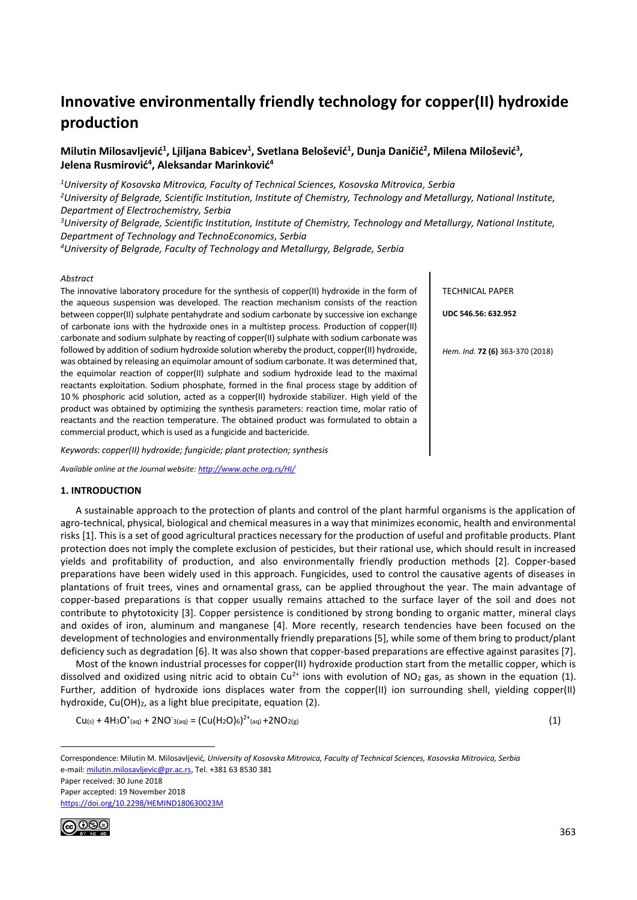# **Innovative environmentally friendly technology for copper(II) hydroxide production**

# **Milutin Milosavljević<sup>1</sup> , Ljiljana Babicev<sup>1</sup> , Svetlana Belošević<sup>1</sup> , Dunja Daničić<sup>2</sup> , Milena Milošević<sup>3</sup> , Jelena Rusmirović<sup>4</sup> , Aleksandar Marinković<sup>4</sup>**

*<sup>1</sup>University of Kosovska Mitrovica, Faculty of Technical Sciences, Kosovska Mitrovica, Serbia*

*<sup>2</sup>University of Belgrade, Scientific Institution, Institute of Chemistry, Technology and Metallurgy, National Institute, Department of Electrochemistry, Serbia*

*<sup>3</sup>University of Belgrade, Scientific Institution, Institute of Chemistry, Technology and Metallurgy, National Institute, Department of Technology and TechnoEconomics, Serbia*

*<sup>4</sup>University of Belgrade, Faculty of Technology and Metallurgy, Belgrade, Serbia*

## *Abstract*

The innovative laboratory procedure for the synthesis of copper(II) hydroxide in the form of the aqueous suspension was developed. The reaction mechanism consists of the reaction between copper(II) sulphate pentahydrate and sodium carbonate by successive ion exchange of carbonate ions with the hydroxide ones in a multistep process. Production of copper(II) carbonate and sodium sulphate by reacting of copper(II) sulphate with sodium carbonate was followed by addition of sodium hydroxide solution whereby the product, copper(II) hydroxide, was obtained by releasing an equimolar amount of sodium carbonate. It was determined that, the equimolar reaction of copper(II) sulphate and sodium hydroxide lead to the maximal reactants exploitation. Sodium phosphate, formed in the final process stage by addition of 10 % phosphoric acid solution, acted as a copper(II) hydroxide stabilizer. High yield of the product was obtained by optimizing the synthesis parameters: reaction time, molar ratio of reactants and the reaction temperature. The obtained product was formulated to obtain a commercial product, which is used as a fungicide and bactericide.

*Keywords*: *copper(II) hydroxide; fungicide; plant protection; synthesis*

*Available online at the Journal website[: http://www.ache.org.rs/HI/](http://www.ache.org.rs/HI/)*

## **1. INTRODUCTION**

A sustainable approach to the protection of plants and control of the plant harmful organisms is the application of agro-technical, physical, biological and chemical measures in a way that minimizes economic, health and environmental risks [1]. This is a set of good agricultural practices necessary for the production of useful and profitable products. Plant protection does not imply the complete exclusion of pesticides, but their rational use, which should result in increased yields and profitability of production, and also environmentally friendly production methods [2]. Copper-based preparations have been widely used in this approach. Fungicides, used to control the causative agents of diseases in plantations of fruit trees, vines and ornamental grass, can be applied throughout the year. The main advantage of copper-based preparations is that copper usually remains attached to the surface layer of the soil and does not contribute to phytotoxicity [3]. Copper persistence is conditioned by strong bonding to organic matter, mineral clays and oxides of iron, aluminum and manganese [4]. More recently, research tendencies have been focused on the development of technologies and environmentally friendly preparations [5], while some of them bring to product/plant deficiency such as degradation [6]. It was also shown that copper-based preparations are effective against parasites [7].

Most of the known industrial processes for copper(II) hydroxide production start from the metallic copper, which is dissolved and oxidized using nitric acid to obtain Cu<sup>2+</sup> ions with evolution of NO<sub>2</sub> gas, as shown in the equation (1). Further, addition of hydroxide ions displaces water from the copper(II) ion surrounding shell, yielding copper(II) hydroxide, Cu(OH)<sub>2</sub>, as a light blue precipitate, equation (2).

 $Cu_{(s)} + 4H_3O^+(a_1) + 2NO^-(a_2) = (Cu(H_2O)_6)^{2+}(a_1) + 2NO_2(g)$  (1)

TECHNICAL PAPER

**UDC 546.56: 632.952**

*Hem. Ind.* **72 (6)** 363-370 (2018)

Paper received: 30 June 2018

Paper accepted: 19 November 2018

<https://doi.org/10.2298/HEMIND180630023M>



1

Correspondence: Milutin M. Milosavljević*, University of Kosovska Mitrovica, Faculty of Technical Sciences, Kosovska Mitrovica, Serbia* e-mail[: milutin.milosavljevic@pr.ac.rs,](mailto:milutin.milosavljevic@pr.ac.rs) Tel. +381 63 8530 381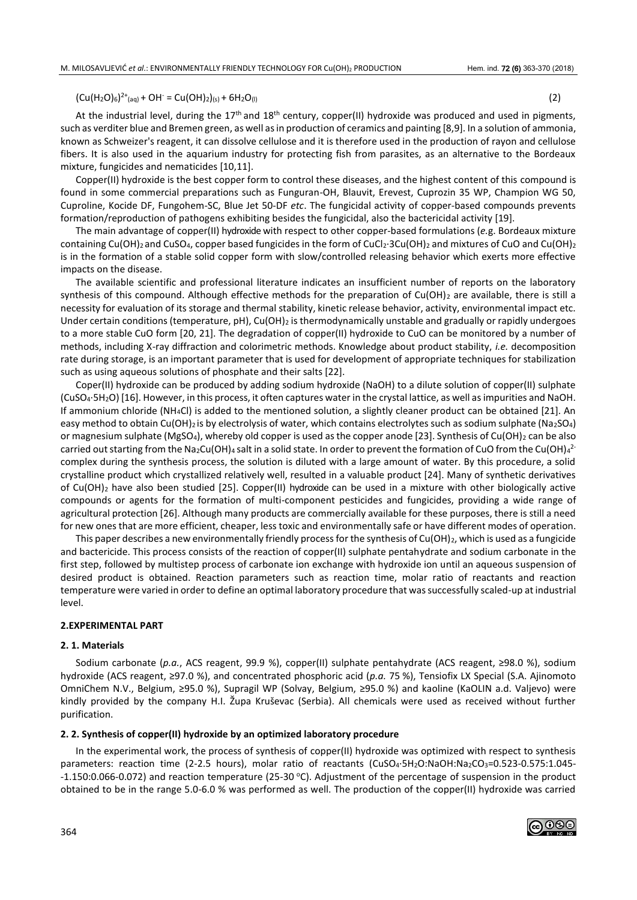$(Cu(H<sub>2</sub>O)<sub>6</sub>)<sup>2+</sup>(aq) + OH<sup>-</sup> = Cu(OH)<sub>2</sub>)(s) + 6H<sub>2</sub>O<sub>(l)</sub>$  (2)

At the industrial level, during the 17<sup>th</sup> and 18<sup>th</sup> century, copper(II) hydroxide was produced and used in pigments, such as verditer blue and Bremen green, as well as in production of ceramics and painting [8,9]. In a solution of ammonia, known as Schweizer's reagent, it can dissolve cellulose and it is therefore used in the production of rayon and cellulose fibers. It is also used in the aquarium industry for protecting fish from parasites, as an alternative to the Bordeaux mixture, fungicides and nematicides [10,11].

Copper(II) hydroxide is the best copper form to control these diseases, and the highest content of this compound is found in some commercial preparations such as Funguran-OH, Blauvit, Erevest, Cuprozin 35 WP, Champion WG 50, Cuproline, Kocide DF, Fungohem-SC, Blue Jet 50-DF *etc*. The fungicidal activity of copper-based compounds prevents formation/reproduction of pathogens exhibiting besides the fungicidal, also the bactericidal activity [19].

The main advantage of copper(II) hydroxide with respect to other copper-based formulations (*e.*g. Bordeaux mixture containing Cu(OH)<sub>2</sub> and CuSO<sub>4</sub>, copper based fungicides in the form of CuCl<sub>2</sub>·3Cu(OH)<sub>2</sub> and mixtures of CuO and Cu(OH)<sub>2</sub> is in the formation of a stable solid copper form with slow/controlled releasing behavior which exerts more effective impacts on the disease.

The available scientific and professional literature indicates an insufficient number of reports on the laboratory synthesis of this compound. Although effective methods for the preparation of  $Cu(OH)_2$  are available, there is still a necessity for evaluation of its storage and thermal stability, kinetic release behavior, activity, environmental impact etc. Under certain conditions (temperature,  $pH$ ), Cu(OH)<sub>2</sub> is thermodynamically unstable and gradually or rapidly undergoes to a more stable CuO form [20, 21]. The degradation of copper(II) hydroxide to CuO can be monitored by a number of methods, including X-ray diffraction and colorimetric methods. Knowledge about product stability, *i.e.* decomposition rate during storage, is an important parameter that is used for development of appropriate techniques for stabilization such as using aqueous solutions of phosphate and their salts [22].

Coper(II) hydroxide can be produced by adding sodium hydroxide (NaOH) to a dilute solution of copper(II) sulphate (CuSO4·5H2O) [16]. However, in this process, it often captures water in the crystal lattice, as well as impurities and NaOH. If ammonium chloride (NH4Cl) is added to the mentioned solution, a slightly cleaner product can be obtained [21]. An easy method to obtain Cu(OH)<sub>2</sub> is by electrolysis of water, which contains electrolytes such as sodium sulphate (Na<sub>2</sub>SO<sub>4</sub>) or magnesium sulphate (MgSO<sub>4</sub>), whereby old copper is used as the copper anode [23]. Synthesis of Cu(OH)<sub>2</sub> can be also carried out starting from the Na2Cu(OH)4 salt in a solid state. In order to prevent the formation of CuO from the Cu(OH)4<sup>2-</sup> complex during the synthesis process, the solution is diluted with a large amount of water. By this procedure, a solid crystalline product which crystallized relatively well, resulted in a valuable product [24]. Many of synthetic derivatives of Cu(OH)<sup>2</sup> have also been studied [25]. Copper(II) hydroxide can be used in a mixture with other biologically active compounds or agents for the formation of multi-component pesticides and fungicides, providing a wide range of agricultural protection [26]. Although many products are commercially available for these purposes, there is still a need for new ones that are more efficient, cheaper, less toxic and environmentally safe or have different modes of operation.

This paper describes a new environmentally friendly process for the synthesis of  $Cu(OH)_2$ , which is used as a fungicide and bactericide. This process consists of the reaction of copper(II) sulphate pentahydrate and sodium carbonate in the first step, followed by multistep process of carbonate ion exchange with hydroxide ion until an aqueous suspension of desired product is obtained. Reaction parameters such as reaction time, molar ratio of reactants and reaction temperature were varied in order to define an optimal laboratory procedure that was successfully scaled-up at industrial level.

# **2.EXPERIMENTAL PART**

#### **2. 1. Materials**

Sodium carbonate (*p.a.*, ACS reagent, 99.9 %), copper(II) sulphate pentahydrate (ACS reagent, ≥98.0 %), sodium hydroxide (ACS reagent, ≥97.0 %), and concentrated phosphoric acid (*p.a.* 75 %), Tensiofix LX Special (S.A. Ajinomoto OmniChem N.V., Belgium, ≥95.0 %), Supragil WP (Solvay, Belgium, ≥95.0 %) and kaoline (KaOLIN a.d. Valjevo) were kindly provided by the company H.I. Župa Kruševac (Serbia). All chemicals were used as received without further purification.

#### **2. 2. Synthesis of copper(II) hydroxide by an optimized laboratory procedure**

In the experimental work, the process of synthesis of copper(II) hydroxide was optimized with respect to synthesis parameters: reaction time (2-2.5 hours), molar ratio of reactants (CuSO4·5H2O:NaOH:Na2CO3=0.523-0.575:1.045--1.150:0.066-0.072) and reaction temperature (25-30 °C). Adjustment of the percentage of suspension in the product obtained to be in the range 5.0-6.0 % was performed as well. The production of the copper(II) hydroxide was carried

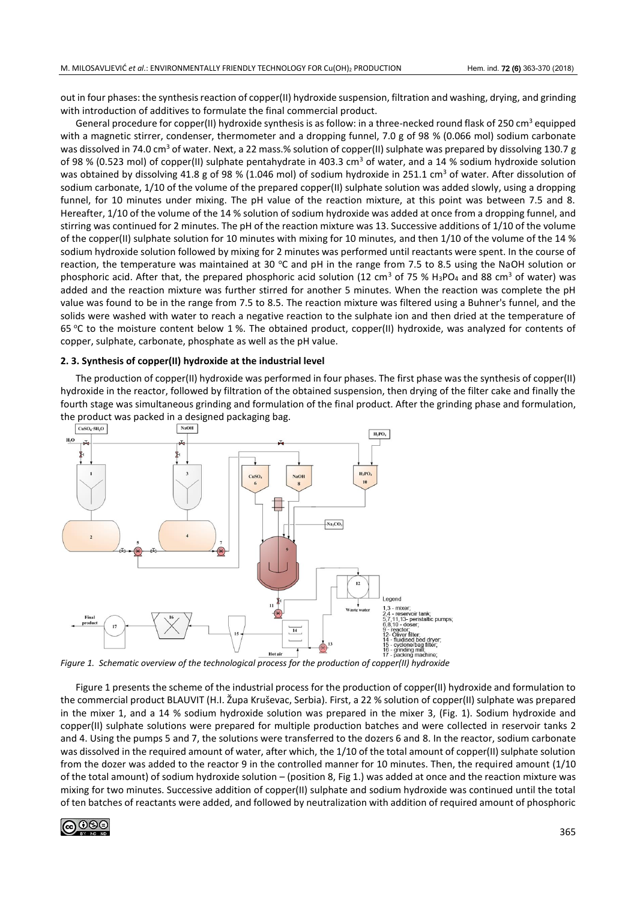out in four phases: the synthesis reaction of copper(II) hydroxide suspension, filtration and washing, drying, and grinding with introduction of additives to formulate the final commercial product.

General procedure for copper(II) hydroxide synthesis is as follow: in a three-necked round flask of 250 cm<sup>3</sup> equipped with a magnetic stirrer, condenser, thermometer and a dropping funnel, 7.0 g of 98 % (0.066 mol) sodium carbonate was dissolved in 74.0 cm<sup>3</sup> of water. Next, a 22 mass.% solution of copper(II) sulphate was prepared by dissolving 130.7 g of 98 % (0.523 mol) of copper(II) sulphate pentahydrate in 403.3 cm<sup>3</sup> of water, and a 14 % sodium hydroxide solution was obtained by dissolving 41.8 g of 98 % (1.046 mol) of sodium hydroxide in 251.1 cm<sup>3</sup> of water. After dissolution of sodium carbonate, 1/10 of the volume of the prepared copper(II) sulphate solution was added slowly, using a dropping funnel, for 10 minutes under mixing. The pH value of the reaction mixture, at this point was between 7.5 and 8. Hereafter, 1/10 of the volume of the 14 % solution of sodium hydroxide was added at once from a dropping funnel, and stirring was continued for 2 minutes. The pH of the reaction mixture was 13. Successive additions of 1/10 of the volume of the copper(II) sulphate solution for 10 minutes with mixing for 10 minutes, and then 1/10 of the volume of the 14 % sodium hydroxide solution followed by mixing for 2 minutes was performed until reactants were spent. In the course of reaction, the temperature was maintained at 30 °C and pH in the range from 7.5 to 8.5 using the NaOH solution or phosphoric acid. After that, the prepared phosphoric acid solution (12 cm<sup>3</sup> of 75 % H<sub>3</sub>PO<sub>4</sub> and 88 cm<sup>3</sup> of water) was added and the reaction mixture was further stirred for another 5 minutes. When the reaction was complete the pH value was found to be in the range from 7.5 to 8.5. The reaction mixture was filtered using a Buhner's funnel, and the solids were washed with water to reach a negative reaction to the sulphate ion and then dried at the temperature of 65  $\degree$ C to the moisture content below 1 %. The obtained product, copper(II) hydroxide, was analyzed for contents of copper, sulphate, carbonate, phosphate as well as the pH value.

#### **2. 3. Synthesis of copper(II) hydroxide at the industrial level**

The production of copper(II) hydroxide was performed in four phases. The first phase was the synthesis of copper(II) hydroxide in the reactor, followed by filtration of the obtained suspension, then drying of the filter cake and finally the fourth stage was simultaneous grinding and formulation of the final product. After the grinding phase and formulation, the product was packed in a designed packaging bag.<br> $\sqrt{\frac{N_{\text{aOD}}}{N_{\text{aOD}}}}$ 



*Figure 1. Schematic overview of the technological process for the production of copper(II) hydroxide*

Figure 1 presents the scheme of the industrial process for the production of copper(II) hydroxide and formulation to the commercial product BLAUVIT (H.I. Župa Kruševac, Serbia). First, a 22 % solution of copper(II) sulphate was prepared in the mixer 1, and a 14 % sodium hydroxide solution was prepared in the mixer 3, (Fig. 1). Sodium hydroxide and copper(II) sulphate solutions were prepared for multiple production batches and were collected in reservoir tanks 2 and 4. Using the pumps 5 and 7, the solutions were transferred to the dozers 6 and 8. In the reactor, sodium carbonate was dissolved in the required amount of water, after which, the 1/10 of the total amount of copper(II) sulphate solution from the dozer was added to the reactor 9 in the controlled manner for 10 minutes. Then, the required amount (1/10 of the total amount) of sodium hydroxide solution – (position 8, Fig 1.) was added at once and the reaction mixture was mixing for two minutes. Successive addition of copper(II) sulphate and sodium hydroxide was continued until the total of ten batches of reactants were added, and followed by neutralization with addition of required amount of phosphoric

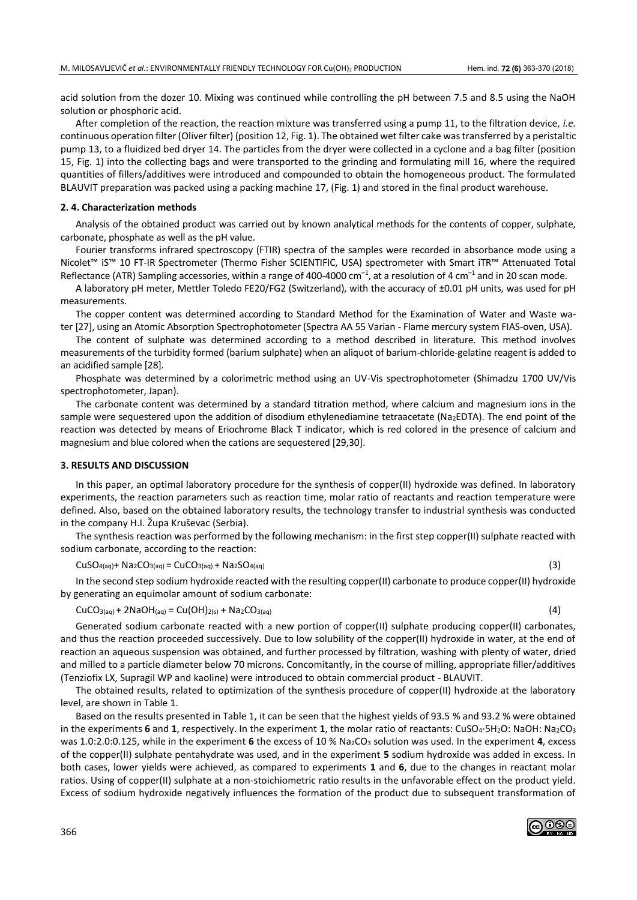acid solution from the dozer 10. Mixing was continued while controlling the pH between 7.5 and 8.5 using the NaOH solution or phosphoric acid.

After completion of the reaction, the reaction mixture was transferred using a pump 11, to the filtration device, *i.e.* continuous operation filter (Oliver filter) (position 12, Fig. 1). The obtained wet filter cake was transferred by a peristaltic pump 13, to a fluidized bed dryer 14. The particles from the dryer were collected in a cyclone and a bag filter (position 15, Fig. 1) into the collecting bags and were transported to the grinding and formulating mill 16, where the required quantities of fillers/additives were introduced and compounded to obtain the homogeneous product. The formulated BLAUVIT preparation was packed using a packing machine 17, (Fig. 1) and stored in the final product warehouse.

## **2. 4. Characterization methods**

Analysis of the obtained product was carried out by known analytical methods for the contents of copper, sulphate, carbonate, phosphate as well as the pH value.

Fourier transforms infrared spectroscopy (FTIR) spectra of the samples were recorded in absorbance mode using a Nicolet™ iS™ 10 FT-IR Spectrometer (Thermo Fisher SCIENTIFIC, USA) spectrometer with Smart iTR™ Attenuated Total Reflectance (ATR) Sampling accessories, within a range of 400-4000 cm<sup>-1</sup>, at a resolution of 4 cm<sup>-1</sup> and in 20 scan mode.

A laboratory pH meter, Mettler Toledo FE20/FG2 (Switzerland), with the accuracy of ±0.01 pH units, was used for pH measurements.

The copper content was determined according to Standard Method for the Examination of Water and Waste water [27], using an Atomic Absorption Spectrophotometer (Spectra AA 55 Varian - Flame mercury system FIAS-oven, USA).

The content of sulphate was determined according to a method described in literature. This method involves measurements of the turbidity formed (barium sulphate) when an aliquot of barium-chloride-gelatine reagent is added to an acidified sample [28].

Phosphate was determined by a colorimetric method using an UV-Vis spectrophotometer (Shimadzu 1700 UV/Vis spectrophotometer, Japan).

The carbonate content was determined by a standard titration method, where calcium and magnesium ions in the sample were sequestered upon the addition of disodium ethylenediamine tetraacetate (Na2EDTA). The end point of the reaction was detected by means of Eriochrome Black T indicator, which is red colored in the presence of calcium and magnesium and blue colored when the cations are sequestered [29,30].

#### **3. RESULTS AND DISCUSSION**

In this paper, an optimal laboratory procedure for the synthesis of copper(II) hydroxide was defined. In laboratory experiments, the reaction parameters such as reaction time, molar ratio of reactants and reaction temperature were defined. Also, based on the obtained laboratory results, the technology transfer to industrial synthesis was conducted in the company H.I. Župa Kruševac (Serbia).

The synthesis reaction was performed by the following mechanism: in the first step copper(II) sulphate reacted with sodium carbonate, according to the reaction:

 $\text{CuSO}_{4\text{(aq)}}+\text{Na}_{2}\text{CO}_{3\text{(aq)}}=\text{CuCO}_{3\text{(aq)}}+\text{Na}_{2}\text{SO}_{4\text{(aq)}}$  (3)

In the second step sodium hydroxide reacted with the resulting copper(II) carbonate to produce copper(II) hydroxide by generating an equimolar amount of sodium carbonate:

 $CuCO_{3(aq)} + 2NaOH(aq) = Cu(OH)_{2(s)} + Na_2CO_{3(aq)}$  (4)

Generated sodium carbonate reacted with a new portion of copper(II) sulphate producing copper(II) carbonates, and thus the reaction proceeded successively. Due to low solubility of the copper(II) hydroxide in water, at the end of reaction an aqueous suspension was obtained, and further processed by filtration, washing with plenty of water, dried and milled to a particle diameter below 70 microns. Concomitantly, in the course of milling, appropriate filler/additives (Tenziofix LX, Supragil WP and kaoline) were introduced to obtain commercial product - BLAUVIT.

The obtained results, related to optimization of the synthesis procedure of copper(II) hydroxide at the laboratory level, are shown in Table 1.

Based on the results presented in Table 1, it can be seen that the highest yields of 93.5 % and 93.2 % were obtained in the experiments **6** and **1**, respectively. In the experiment **1**, the molar ratio of reactants: CuSO4·5H2O: NaOH: Na2CO<sup>3</sup> was 1.0:2.0:0.125, while in the experiment 6 the excess of 10 % Na<sub>2</sub>CO<sub>3</sub> solution was used. In the experiment 4, excess of the copper(II) sulphate pentahydrate was used, and in the experiment **5** sodium hydroxide was added in excess. In both cases, lower yields were achieved, as compared to experiments **1** and **6**, due to the changes in reactant molar ratios. Using of copper(II) sulphate at a non-stoichiometric ratio results in the unfavorable effect on the product yield. Excess of sodium hydroxide negatively influences the formation of the product due to subsequent transformation of

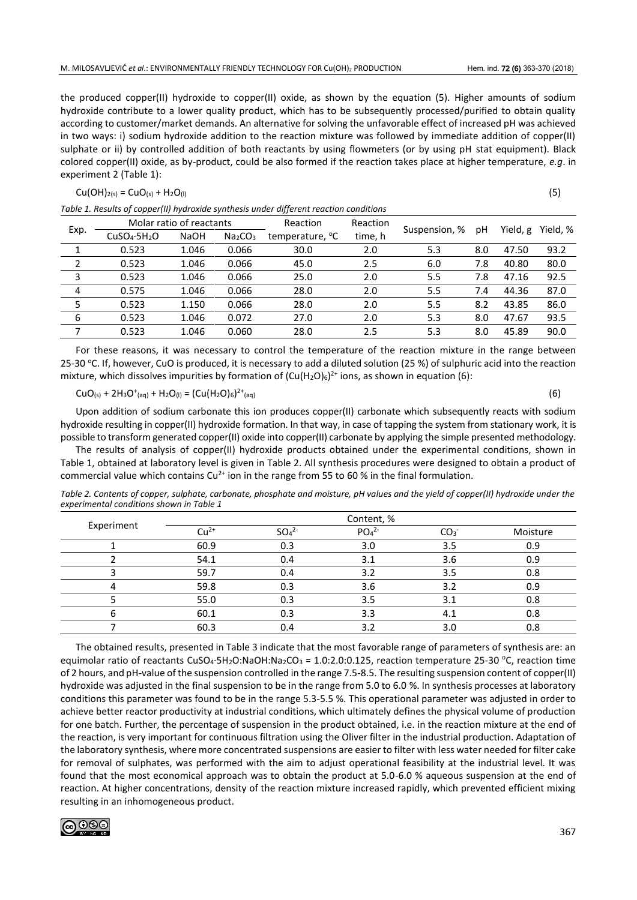the produced copper(II) hydroxide to copper(II) oxide, as shown by the equation (5). Higher amounts of sodium hydroxide contribute to a lower quality product, which has to be subsequently processed/purified to obtain quality according to customer/market demands. An alternative for solving the unfavorable effect of increased pH was achieved in two ways: i) sodium hydroxide addition to the reaction mixture was followed by immediate addition of copper(II) sulphate or ii) by controlled addition of both reactants by using flowmeters (or by using pH stat equipment). Black colored copper(II) oxide, as by-product, could be also formed if the reaction takes place at higher temperature, *e.g*. in experiment 2 (Table 1):

# $Cu(OH)_{2(s)} = CuO_{(s)} + H_2O_{(l)}$  (5)

|                |                                      | Molar ratio of reactants |                                 | Reaction                    | Reaction | Suspension, % |     |          | Yield, % |
|----------------|--------------------------------------|--------------------------|---------------------------------|-----------------------------|----------|---------------|-----|----------|----------|
| Exp.           | CuSO <sub>4</sub> ·5H <sub>2</sub> O | <b>NaOH</b>              | Na <sub>2</sub> CO <sub>3</sub> | temperature, <sup>o</sup> C | time, h  |               | рH  | Yield, g |          |
|                | 0.523                                | 1.046                    | 0.066                           | 30.0                        | 2.0      | 5.3           | 8.0 | 47.50    | 93.2     |
| $\overline{2}$ | 0.523                                | 1.046                    | 0.066                           | 45.0                        | 2.5      | 6.0           | 7.8 | 40.80    | 80.0     |
| 3              | 0.523                                | 1.046                    | 0.066                           | 25.0                        | 2.0      | 5.5           | 7.8 | 47.16    | 92.5     |
| 4              | 0.575                                | 1.046                    | 0.066                           | 28.0                        | 2.0      | 5.5           | 7.4 | 44.36    | 87.0     |
| 5              | 0.523                                | 1.150                    | 0.066                           | 28.0                        | 2.0      | 5.5           | 8.2 | 43.85    | 86.0     |
| 6              | 0.523                                | 1.046                    | 0.072                           | 27.0                        | 2.0      | 5.3           | 8.0 | 47.67    | 93.5     |
| 7              | 0.523                                | 1.046                    | 0.060                           | 28.0                        | 2.5      | 5.3           | 8.0 | 45.89    | 90.0     |
|                |                                      |                          |                                 |                             |          |               |     |          |          |

*Table 1. Results of copper(II) hydroxide synthesis under different reaction conditions*

For these reasons, it was necessary to control the temperature of the reaction mixture in the range between 25-30 °C. If, however, CuO is produced, it is necessary to add a diluted solution (25 %) of sulphuric acid into the reaction mixture, which dissolves impurities by formation of  $(Cu(H_2O)_6)^{2+}$  ions, as shown in equation (6):

 $CuO_{(s)} + 2H_3O^+(aq) + H_2O_{(l)} = (Cu(H_2O)_6)$  $2^{2+}$ (aq) (6)

Upon addition of sodium carbonate this ion produces copper(II) carbonate which subsequently reacts with sodium hydroxide resulting in copper(II) hydroxide formation. In that way, in case of tapping the system from stationary work, it is possible to transform generated copper(II) oxide into copper(II) carbonate by applying the simple presented methodology.

The results of analysis of copper(II) hydroxide products obtained under the experimental conditions, shown in Table 1, obtained at laboratory level is given in Table 2. All synthesis procedures were designed to obtain a product of commercial value which contains  $Cu^{2+}$  ion in the range from 55 to 60 % in the final formulation.

| Table 2. Contents of copper, sulphate, carbonate, phosphate and moisture, pH values and the yield of copper(II) hydroxide under the |  |
|-------------------------------------------------------------------------------------------------------------------------------------|--|
| experimental conditions shown in Table 1                                                                                            |  |

|            | Content, % |                              |                              |                 |          |  |  |  |  |  |
|------------|------------|------------------------------|------------------------------|-----------------|----------|--|--|--|--|--|
| Experiment | $Cu2+$     | SO <sub>4</sub> <sup>2</sup> | PO <sub>4</sub> <sup>2</sup> | CO <sub>3</sub> | Moisture |  |  |  |  |  |
|            | 60.9       | 0.3                          | 3.0                          | 3.5             | 0.9      |  |  |  |  |  |
|            | 54.1       | 0.4                          | 3.1                          | 3.6             | 0.9      |  |  |  |  |  |
|            | 59.7       | 0.4                          | 3.2                          | 3.5             | 0.8      |  |  |  |  |  |
|            | 59.8       | 0.3                          | 3.6                          | 3.2             | 0.9      |  |  |  |  |  |
|            | 55.0       | 0.3                          | 3.5                          | 3.1             | 0.8      |  |  |  |  |  |
|            | 60.1       | 0.3                          | 3.3                          | 4.1             | 0.8      |  |  |  |  |  |
|            | 60.3       | 0.4                          | 3.2                          | 3.0             | 0.8      |  |  |  |  |  |

The obtained results, presented in Table 3 indicate that the most favorable range of parameters of synthesis are: an equimolar ratio of reactants CuSO<sub>4</sub>·5H<sub>2</sub>O:NaOH:Na<sub>2</sub>CO<sub>3</sub> = 1.0:2.0:0.125, reaction temperature 25-30 °C, reaction time of 2 hours, and pH-value of the suspension controlled in the range 7.5-8.5. The resulting suspension content of copper(II) hydroxide was adjusted in the final suspension to be in the range from 5.0 to 6.0 %. In synthesis processes at laboratory conditions this parameter was found to be in the range 5.3-5.5 %. This operational parameter was adjusted in order to achieve better reactor productivity at industrial conditions, which ultimately defines the physical volume of production for one batch. Further, the percentage of suspension in the product obtained, i.e. in the reaction mixture at the end of the reaction, is very important for continuous filtration using the Oliver filter in the industrial production. Adaptation of the laboratory synthesis, where more concentrated suspensions are easier to filter with less water needed for filter cake for removal of sulphates, was performed with the aim to adjust operational feasibility at the industrial level. It was found that the most economical approach was to obtain the product at 5.0-6.0 % aqueous suspension at the end of reaction. At higher concentrations, density of the reaction mixture increased rapidly, which prevented efficient mixing resulting in an inhomogeneous product.

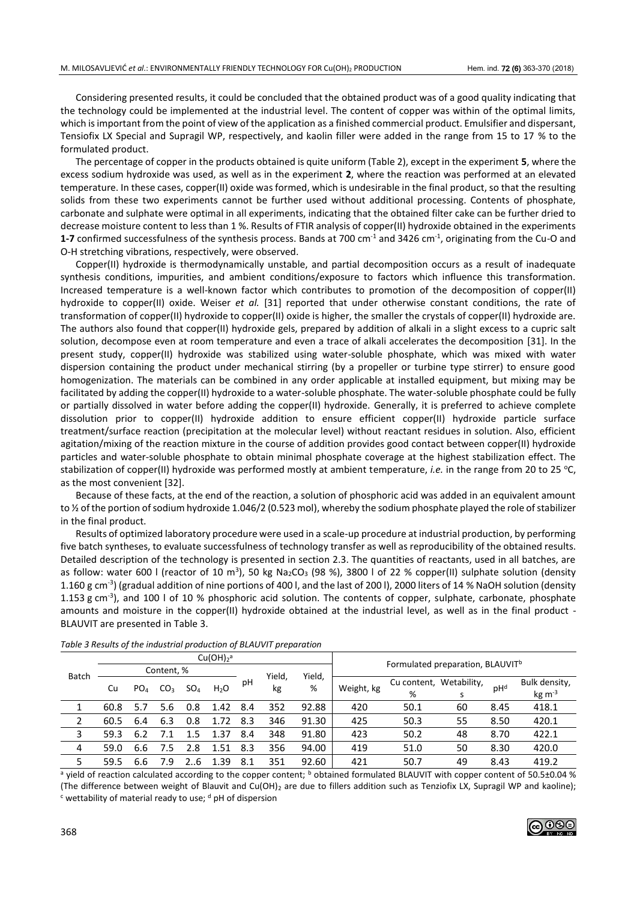Considering presented results, it could be concluded that the obtained product was of a good quality indicating that the technology could be implemented at the industrial level. The content of copper was within of the optimal limits, which is important from the point of view of the application as a finished commercial product. Emulsifier and dispersant, Tensiofix LX Special and Supragil WP, respectively, and kaolin filler were added in the range from 15 to 17 % to the formulated product.

The percentage of copper in the products obtained is quite uniform (Table 2), except in the experiment **5**, where the excess sodium hydroxide was used, as well as in the experiment **2**, where the reaction was performed at an elevated temperature. In these cases, copper(II) oxide was formed, which is undesirable in the final product, so that the resulting solids from these two experiments cannot be further used without additional processing. Contents of phosphate, carbonate and sulphate were optimal in all experiments, indicating that the obtained filter cake can be further dried to decrease moisture content to less than 1 %. Results of FTIR analysis of copper(II) hydroxide obtained in the experiments **1-7** confirmed successfulness of the synthesis process. Bands at 700 cm<sup>-1</sup> and 3426 cm<sup>-1</sup>, originating from the Cu-O and O-H stretching vibrations, respectively, were observed.

Copper(II) hydroxide is thermodynamically unstable, and partial decomposition occurs as a result of inadequate synthesis conditions, impurities, and ambient conditions/exposure to factors which influence this transformation. Increased temperature is a well-known factor which contributes to promotion of the decomposition of copper(II) hydroxide to copper(II) oxide. Weiser *et al.* [31] reported that under otherwise constant conditions, the rate of transformation of copper(II) hydroxide to copper(II) oxide is higher, the smaller the crystals of copper(II) hydroxide are. The authors also found that copper(II) hydroxide gels, prepared by addition of alkali in a slight excess to a cupric salt solution, decompose even at room temperature and even a trace of alkali accelerates the decomposition [31]. In the present study, copper(II) hydroxide was stabilized using water-soluble phosphate, which was mixed with water dispersion containing the product under mechanical stirring (by a propeller or turbine type stirrer) to ensure good homogenization. The materials can be combined in any order applicable at installed equipment, but mixing may be facilitated by adding the copper(II) hydroxide to a water-soluble phosphate. The water-soluble phosphate could be fully or partially dissolved in water before adding the copper(II) hydroxide. Generally, it is preferred to achieve complete dissolution prior to copper(II) hydroxide addition to ensure efficient copper(II) hydroxide particle surface treatment/surface reaction (precipitation at the molecular level) without reactant residues in solution. Also, efficient agitation/mixing of the reaction mixture in the course of addition provides good contact between copper(II) hydroxide particles and water-soluble phosphate to obtain minimal phosphate coverage at the highest stabilization effect. The stabilization of copper(II) hydroxide was performed mostly at ambient temperature, *i.e.* in the range from 20 to 25 °C, as the most convenient [32].

Because of these facts, at the end of the reaction, a solution of phosphoric acid was added in an equivalent amount to  $\frac{1}{2}$  of the portion of sodium hydroxide 1.046/2 (0.523 mol), whereby the sodium phosphate played the role of stabilizer in the final product.

Results of optimized laboratory procedure were used in a scale-up procedure at industrial production, by performing five batch syntheses, to evaluate successfulness of technology transfer as well as reproducibility of the obtained results. Detailed description of the technology is presented in section 2.3. The quantities of reactants, used in all batches, are as follow: water 600 l (reactor of 10 m<sup>3</sup>), 50 kg Na<sub>2</sub>CO<sub>3</sub> (98 %), 3800 l of 22 % copper(II) sulphate solution (density 1.160 g cm<sup>-3</sup>) (gradual addition of nine portions of 400 l, and the last of 200 l), 2000 liters of 14 % NaOH solution (density 1.153 g cm<sup>-3</sup>), and 100 l of 10 % phosphoric acid solution. The contents of copper, sulphate, carbonate, phosphate amounts and moisture in the copper(II) hydroxide obtained at the industrial level, as well as in the final product - BLAUVIT are presented in Table 3.

|       | Cu(OH) <sub>2</sub> <sup>a</sup> |     |                 |                 |                  |        |        |       | Formulated preparation, BLAUVIT <sup>b</sup> |                         |    |      |                |
|-------|----------------------------------|-----|-----------------|-----------------|------------------|--------|--------|-------|----------------------------------------------|-------------------------|----|------|----------------|
| Batch | Content, %                       |     |                 |                 |                  | Yield, | Yield. |       |                                              |                         |    |      |                |
|       | Cu                               | PO4 | CO <sub>3</sub> | SO <sub>4</sub> | H <sub>2</sub> O | рH     | kg     | %     | Weight, kg                                   | Cu content, Wetability, |    | pHd  | Bulk density,  |
|       |                                  |     |                 |                 |                  |        |        |       |                                              | %                       |    |      | $kg \, m^{-3}$ |
|       | 60.8                             | 5.7 | 5.6             | 0.8             | 1.42             | 8.4    | 352    | 92.88 | 420                                          | 50.1                    | 60 | 8.45 | 418.1          |
|       | 60.5                             | 6.4 | 6.3             | 0.8             | 1.72             | 8.3    | 346    | 91.30 | 425                                          | 50.3                    | 55 | 8.50 | 420.1          |
| 3     | 59.3                             | 6.2 |                 | 15              | 1.37             | 8.4    | 348    | 91.80 | 423                                          | 50.2                    | 48 | 8.70 | 422.1          |
| 4     | 59.0                             | 6.6 |                 | 2.8             | 1 51             | 8.3    | 356    | 94.00 | 419                                          | 51.0                    | 50 | 8.30 | 420.0          |
| 5     | 59.5                             | 6.6 | 7.9             | 6               | .39              | 8.1    | 351    | 92.60 | 421                                          | 50.7                    | 49 | 8.43 | 419.2          |

*Table 3 Results of the industrial production of BLAUVIT preparation*

<sup>a</sup> yield of reaction calculated according to the copper content; <sup>b</sup> obtained formulated BLAUVIT with copper content of 50.5±0.04 % (The difference between weight of Blauvit and Cu(OH)<sub>2</sub> are due to fillers addition such as Tenziofix LX, Supragil WP and kaoline);  $c$  wettability of material ready to use;  $d$  pH of dispersion

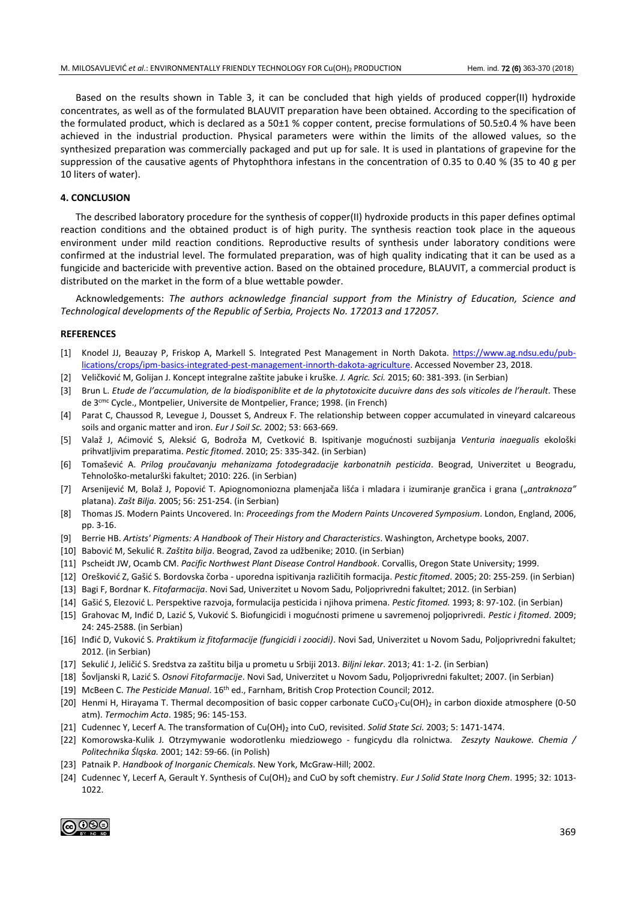Based on the results shown in Table 3, it can be concluded that high yields of produced copper(II) hydroxide concentrates, as well as of the formulated BLAUVIT preparation have been obtained. According to the specification of the formulated product, which is declared as a 50±1 % copper content, precise formulations of 50.5±0.4 % have been achieved in the industrial production. Physical parameters were within the limits of the allowed values, so the synthesized preparation was commercially packaged and put up for sale. It is used in plantations of grapevine for the suppression of the causative agents of Phytophthora infestans in the concentration of 0.35 to 0.40 % (35 to 40 g per 10 liters of water).

#### **4. CONCLUSION**

The described laboratory procedure for the synthesis of copper(II) hydroxide products in this paper defines optimal reaction conditions and the obtained product is of high purity. The synthesis reaction took place in the aqueous environment under mild reaction conditions. Reproductive results of synthesis under laboratory conditions were confirmed at the industrial level. The formulated preparation, was of high quality indicating that it can be used as a fungicide and bactericide with preventive action. Based on the obtained procedure, BLAUVIT, a commercial product is distributed on the market in the form of a blue wettable powder.

Acknowledgements: *The authors acknowledge financial support from the Ministry of Education, Science and Technological developments of the Republic of Serbia, Projects No. 172013 and 172057.* 

#### **REFERENCES**

- [1] Knodel JJ, Beauzay P, Friskop A, Markell S. Integrated Pest Management in North Dakota. [https://www.ag.ndsu.edu/pub](https://www.ag.ndsu.edu/publications/crops/ipm-basics-integrated-pest-management-innorth-dakota-agriculture)[lications/crops/ipm-basics-integrated-pest-management-innorth-dakota-agriculture.](https://www.ag.ndsu.edu/publications/crops/ipm-basics-integrated-pest-management-innorth-dakota-agriculture) Accessed November 23, 2018.
- [2] Veličković M, Golijan J. Koncept integralne zaštite jabuke i kruške. *J. Agric. Sci.* 2015; 60: 381-393. (in Serbian)
- [3] Brun L. *Etude de l'accumulation, de la biodisponiblite et de la phytotoxicite ducuivre dans des sols viticoles de l'herault*. These de 3cmc Cycle., Montpelier, Universite de Montpelier, France; 1998. (in French)
- [4] Parat C, Chaussod R, Levegue J, Dousset S, Andreux F. The relationship between copper accumulated in vineyard calcareous soils and organic matter and iron. *Eur J Soil Sc.* 2002; 53: 663-669.
- [5] Valaž J, Aćimović S, Aleksić G, Bodroža M, Cvetković B. Ispitivanje mogućnosti suzbijanja *Venturia inaegualis* ekološki prihvatljivim preparatima. *Pestic fitomed*. 2010; 25: 335-342. (in Serbian)
- [6] Tomašević A. *Prilog proučavanju mehanizama fotodegradacije karbonatnih pesticida*. Beograd, Univerzitet u Beogradu, Tehnološko-metalurški fakultet; 2010: 226. (in Serbian)
- [7] Arsenijević M, Bolaž J, Popović T. Apiognomoniozna plamenjača lišća i mladara i izumiranje grančica i grana ("*antraknoza"* platana). *Zašt Bilja.* 2005; 56: 251-254. (in Serbian)
- [8] Thomas JS. Modern Paints Uncovered. In: *Proceedings from the Modern Paints Uncovered Symposium*. London, England, 2006, pp. 3-16.
- [9] Berrie HB. *Artists' Pigments: A Handbook of Their History and Characteristics*. Washington, Archetype books, 2007.
- [10] Babović M, Sekulić R. *Zaštita bilja*. Beograd, Zavod za udžbenike; 2010. (in Serbian)
- [11] Pscheidt JW, Ocamb CM. *Pacific Northwest Plant Disease Control Handbook*. Corvallis, Oregon State University; 1999.
- [12] Orešković Z, Gašić S. Bordovska čorba uporedna ispitivanja različitih formacija. *Pestic fitomed*. 2005; 20: 255-259. (in Serbian)
- [13] Bagi F, Bordnar K. *Fitofarmacija*. Novi Sad, Univerzitet u Novom Sadu, Poljoprivredni fakultet; 2012. (in Serbian)
- [14] Gašić S, Elezović L. Perspektive razvoja, formulacija pesticida i njihova primena. *Pestic fitomed.* 1993; 8: 97-102. (in Serbian)
- [15] Grahovac M, Inđić D, Lazić S, Vuković S. Biofungicidi i mogućnosti primene u savremenoj poljoprivredi. *Pestic i fitomed*. 2009; 24: 245-2588. (in Serbian)
- [16] Inđić D, Vuković S. *Praktikum iz fitofarmacije (fungicidi i zoocidi)*. Novi Sad, Univerzitet u Novom Sadu, Poljoprivredni fakultet; 2012. (in Serbian)
- [17] Sekulić J, Jeličić S. Sredstva za zaštitu bilja u prometu u Srbiji 2013. *Biljni lekar*. 2013; 41: 1-2. (in Serbian)
- [18] Šovljanski R, Lazić S. *Osnovi Fitofarmacije*. Novi Sad, Univerzitet u Novom Sadu, Poljoprivredni fakultet; 2007. (in Serbian)
- [19] McBeen C. *The Pesticide Manual*. 16th ed., Farnham, British Crop Protection Council; 2012.
- [20] Henmi H, Hirayama T. Thermal decomposition of basic copper carbonate CuCO<sub>3</sub>·Cu(OH)<sub>2</sub> in carbon dioxide atmosphere (0-50 atm). *Termochim Acta*. 1985; 96: 145-153.
- [21] Cudennec Y, Lecerf A. The transformation of Cu(OH)<sub>2</sub> into CuO, revisited. *Solid State Sci.* 2003; 5: 1471-1474.
- [22] Komorowska-Kulik J*.* Otrzymywanie wodorotlenku miedziowego fungicydu dla rolnictwa. *Zeszyty Naukowe. Chemia / Politechnika Śląska.* 2001; 142: 59-66. (in Polish)
- [23] Patnaik P. *Handbook of Inorganic Chemicals*. New York, McGraw-Hill; 2002.
- [24] Cudennec Y, Lecerf A, Gerault Y. Synthesis of Cu(OH)<sup>2</sup> and CuO by soft chemistry. *Eur J Solid State Inorg Chem*. 1995; 32: 1013- 1022.